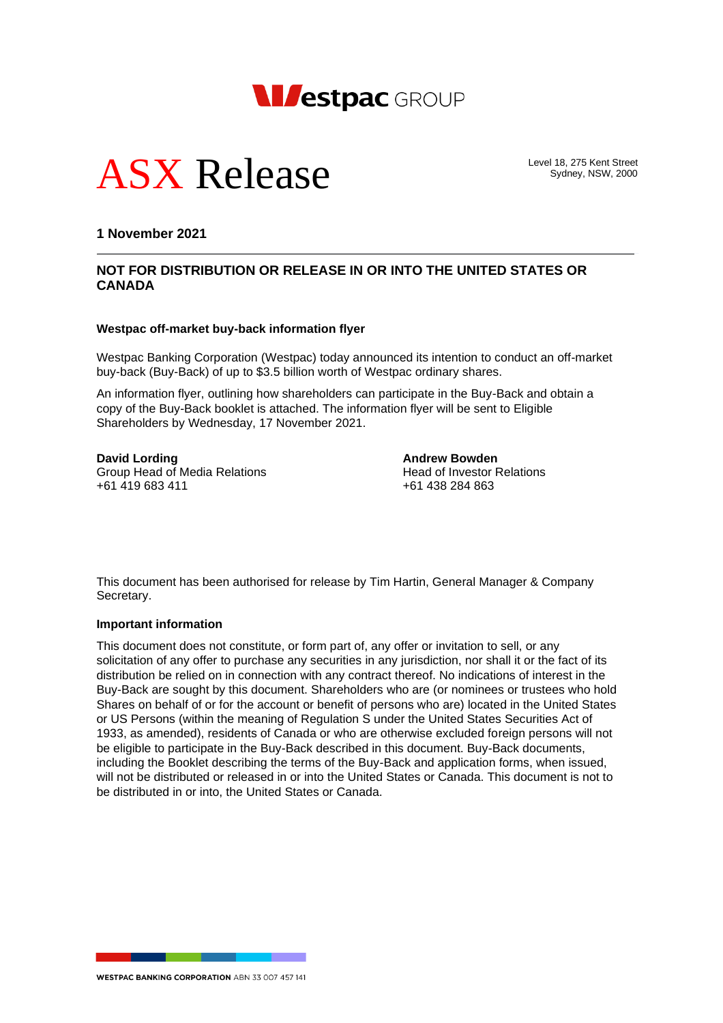



Level 18, 275 Kent Street Sydney, NSW, 2000

**1 November 2021**

## **NOT FOR DISTRIBUTION OR RELEASE IN OR INTO THE UNITED STATES OR CANADA**

#### **Westpac off-market buy-back information flyer**

Westpac Banking Corporation (Westpac) today announced its intention to conduct an off-market buy-back (Buy-Back) of up to \$3.5 billion worth of Westpac ordinary shares.

An information flyer, outlining how shareholders can participate in the Buy-Back and obtain a copy of the Buy-Back booklet is attached. The information flyer will be sent to Eligible Shareholders by Wednesday, 17 November 2021.

**David Lording**<br> **Andrew Bowden**<br> **Andrew Bowden**<br> **Andrew Bowden**<br>
Head of Investor Relations Group Head of Media Relations<br>
+61 419 683 411<br>
+61 438 284 863  $+61$  419 683 411

This document has been authorised for release by Tim Hartin, General Manager & Company Secretary.

#### **Important information**

This document does not constitute, or form part of, any offer or invitation to sell, or any solicitation of any offer to purchase any securities in any jurisdiction, nor shall it or the fact of its distribution be relied on in connection with any contract thereof. No indications of interest in the Buy-Back are sought by this document. Shareholders who are (or nominees or trustees who hold Shares on behalf of or for the account or benefit of persons who are) located in the United States or US Persons (within the meaning of Regulation S under the United States Securities Act of 1933, as amended), residents of Canada or who are otherwise excluded foreign persons will not be eligible to participate in the Buy-Back described in this document. Buy-Back documents, including the Booklet describing the terms of the Buy-Back and application forms, when issued, will not be distributed or released in or into the United States or Canada. This document is not to be distributed in or into, the United States or Canada.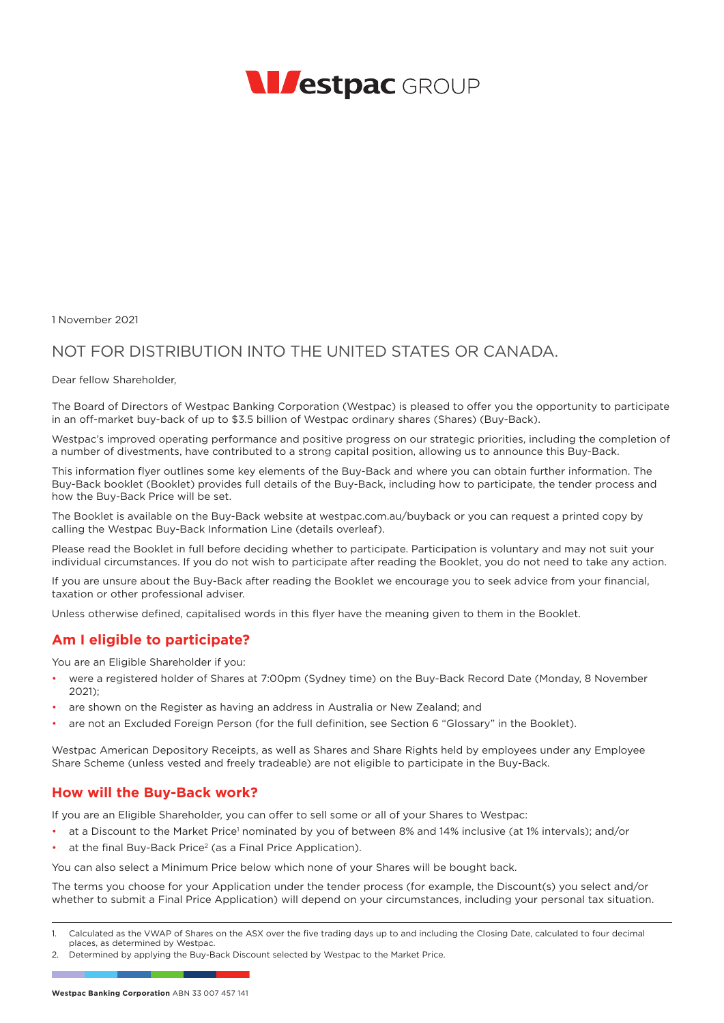

1 November 2021

# NOT FOR DISTRIBUTION INTO THE UNITED STATES OR CANADA.

Dear fellow Shareholder,

The Board of Directors of Westpac Banking Corporation (Westpac) is pleased to offer you the opportunity to participate in an off-market buy-back of up to \$3.5 billion of Westpac ordinary shares (Shares) (Buy-Back).

Westpac's improved operating performance and positive progress on our strategic priorities, including the completion of a number of divestments, have contributed to a strong capital position, allowing us to announce this Buy-Back.

This information flyer outlines some key elements of the Buy-Back and where you can obtain further information. The Buy-Back booklet (Booklet) provides full details of the Buy-Back, including how to participate, the tender process and how the Buy-Back Price will be set.

The Booklet is available on the Buy-Back website at westpac.com.au/buyback or you can request a printed copy by calling the Westpac Buy-Back Information Line (details overleaf).

Please read the Booklet in full before deciding whether to participate. Participation is voluntary and may not suit your individual circumstances. If you do not wish to participate after reading the Booklet, you do not need to take any action.

If you are unsure about the Buy-Back after reading the Booklet we encourage you to seek advice from your financial, taxation or other professional adviser.

Unless otherwise defined, capitalised words in this flyer have the meaning given to them in the Booklet.

### **Am I eligible to participate?**

You are an Eligible Shareholder if you:

- were a registered holder of Shares at 7:00pm (Sydney time) on the Buy-Back Record Date (Monday, 8 November 2021);
- are shown on the Register as having an address in Australia or New Zealand; and
- are not an Excluded Foreign Person (for the full definition, see Section 6 "Glossary" in the Booklet).

Westpac American Depository Receipts, as well as Shares and Share Rights held by employees under any Employee Share Scheme (unless vested and freely tradeable) are not eligible to participate in the Buy-Back.

### **How will the Buy-Back work?**

If you are an Eligible Shareholder, you can offer to sell some or all of your Shares to Westpac:

- at a Discount to the Market Price<sup>1</sup> nominated by you of between 8% and 14% inclusive (at 1% intervals); and/or
- at the final Buy-Back Price<sup>2</sup> (as a Final Price Application).

You can also select a Minimum Price below which none of your Shares will be bought back.

The terms you choose for your Application under the tender process (for example, the Discount(s) you select and/or whether to submit a Final Price Application) will depend on your circumstances, including your personal tax situation.

2. Determined by applying the Buy-Back Discount selected by Westpac to the Market Price.

<sup>1.</sup> Calculated as the VWAP of Shares on the ASX over the five trading days up to and including the Closing Date, calculated to four decimal places, as determined by Westpac.